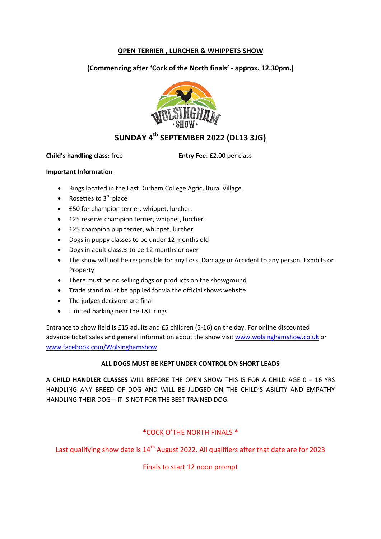# **OPEN TERRIER , LURCHER & WHIPPETS SHOW**

**(Commencing after 'Cock of the North finals' - approx. 12.30pm.)**



# **SUNDAY 4th SEPTEMBER 2022 (DL13 3JG)**

**Child's handling class:** free **Entry Fee**: £2.00 per class

### **Important Information**

- Rings located in the East Durham College Agricultural Village.
- Rosettes to  $3<sup>rd</sup>$  place
- £50 for champion terrier, whippet, lurcher.
- £25 reserve champion terrier, whippet, lurcher.
- **£25 champion pup terrier, whippet, lurcher.**
- Dogs in puppy classes to be under 12 months old
- Dogs in adult classes to be 12 months or over
- The show will not be responsible for any Loss, Damage or Accident to any person, Exhibits or Property
- There must be no selling dogs or products on the showground
- Trade stand must be applied for via the official shows website
- The judges decisions are final
- Limited parking near the T&L rings

Entrance to show field is £15 adults and £5 children (5-16) on the day. For online discounted advance ticket sales and general information about the show visi[t www.wolsinghamshow.co.uk](http://www.wolsinghamshow.co.uk/) or [www.facebook.com/Wolsinghamshow](http://www.facebook.com/Wolsinghamshow)

### **ALL DOGS MUST BE KEPT UNDER CONTROL ON SHORT LEADS**

A **CHILD HANDLER CLASSES** WILL BEFORE THE OPEN SHOW THIS IS FOR A CHILD AGE 0 – 16 YRS HANDLING ANY BREED OF DOG AND WILL BE JUDGED ON THE CHILD'S ABILITY AND EMPATHY HANDLING THEIR DOG – IT IS NOT FOR THE BEST TRAINED DOG.

# \*COCK O'THE NORTH FINALS \*

Last qualifying show date is  $14<sup>th</sup>$  August 2022. All qualifiers after that date are for 2023

Finals to start 12 noon prompt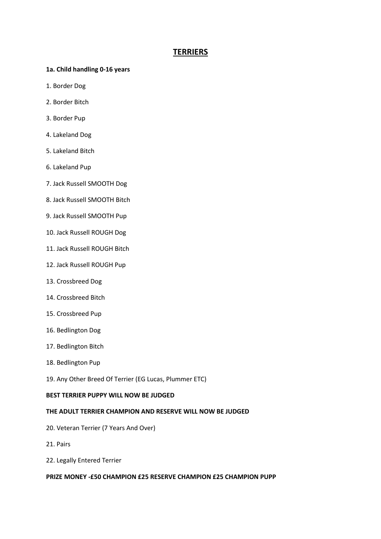# **TERRIERS**

- **1a. Child handling 0-16 years**
- 1. Border Dog
- 2. Border Bitch
- 3. Border Pup
- 4. Lakeland Dog
- 5. Lakeland Bitch
- 6. Lakeland Pup
- 7. Jack Russell SMOOTH Dog
- 8. Jack Russell SMOOTH Bitch
- 9. Jack Russell SMOOTH Pup
- 10. Jack Russell ROUGH Dog
- 11. Jack Russell ROUGH Bitch
- 12. Jack Russell ROUGH Pup
- 13. Crossbreed Dog
- 14. Crossbreed Bitch
- 15. Crossbreed Pup
- 16. Bedlington Dog
- 17. Bedlington Bitch
- 18. Bedlington Pup
- 19. Any Other Breed Of Terrier (EG Lucas, Plummer ETC)

#### **BEST TERRIER PUPPY WILL NOW BE JUDGED**

#### **THE ADULT TERRIER CHAMPION AND RESERVE WILL NOW BE JUDGED**

- 20. Veteran Terrier (7 Years And Over)
- 21. Pairs
- 22. Legally Entered Terrier

#### **PRIZE MONEY -£50 CHAMPION £25 RESERVE CHAMPION £25 CHAMPION PUPP**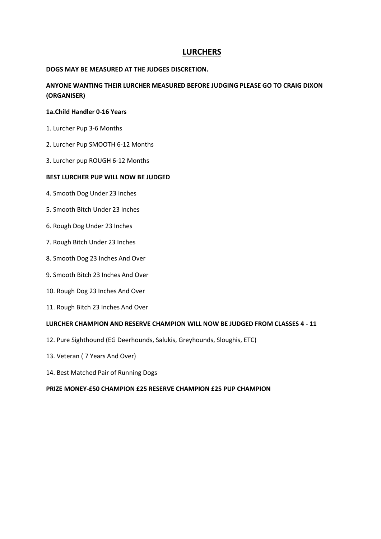# **LURCHERS**

### **DOGS MAY BE MEASURED AT THE JUDGES DISCRETION.**

**ANYONE WANTING THEIR LURCHER MEASURED BEFORE JUDGING PLEASE GO TO CRAIG DIXON (ORGANISER)**

### **1a.Child Handler 0-16 Years**

- 1. Lurcher Pup 3-6 Months
- 2. Lurcher Pup SMOOTH 6-12 Months
- 3. Lurcher pup ROUGH 6-12 Months

### **BEST LURCHER PUP WILL NOW BE JUDGED**

- 4. Smooth Dog Under 23 Inches
- 5. Smooth Bitch Under 23 Inches
- 6. Rough Dog Under 23 Inches
- 7. Rough Bitch Under 23 Inches
- 8. Smooth Dog 23 Inches And Over
- 9. Smooth Bitch 23 Inches And Over
- 10. Rough Dog 23 Inches And Over
- 11. Rough Bitch 23 Inches And Over

### **LURCHER CHAMPION AND RESERVE CHAMPION WILL NOW BE JUDGED FROM CLASSES 4 - 11**

- 12. Pure Sighthound (EG Deerhounds, Salukis, Greyhounds, Sloughis, ETC)
- 13. Veteran ( 7 Years And Over)
- 14. Best Matched Pair of Running Dogs

### **PRIZE MONEY-£50 CHAMPION £25 RESERVE CHAMPION £25 PUP CHAMPION**